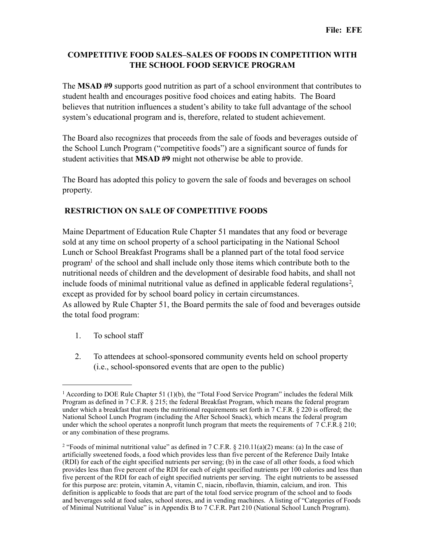## **COMPETITIVE FOOD SALES–SALES OF FOODS IN COMPETITION WITH THE SCHOOL FOOD SERVICE PROGRAM**

The **MSAD #9** supports good nutrition as part of a school environment that contributes to student health and encourages positive food choices and eating habits. The Board believes that nutrition influences a student's ability to take full advantage of the school system's educational program and is, therefore, related to student achievement.

The Board also recognizes that proceeds from the sale of foods and beverages outside of the School Lunch Program ("competitive foods") are a significant source of funds for student activities that **MSAD #9** might not otherwise be able to provide.

The Board has adopted this policy to govern the sale of foods and beverages on school property.

## **RESTRICTION ON SALE OF COMPETITIVE FOODS**

Maine Department of Education Rule Chapter 51 mandates that any food or beverage sold at any time on school property of a school participating in the National School Lunch or School Breakfast Programs shall be a planned part of the total food service progra[m1](#page-0-0) of the school and shall include only those items which contribute both to the nutritional needs of children and the development of desirable food habits, and shall not include foods of minimal nutritional value as defined in applicable federal regulations<sup>[2](#page-0-1)</sup>, except as provided for by school board policy in certain circumstances. As allowed by Rule Chapter 51, the Board permits the sale of food and beverages outside the total food program:

- 1. To school staff
- 2. To attendees at school-sponsored community events held on school property (i.e., school-sponsored events that are open to the public)

<span id="page-0-0"></span><sup>&</sup>lt;sup>1</sup> According to DOE Rule Chapter 51 (1)(b), the "Total Food Service Program" includes the federal Milk Program as defined in 7 C.F.R. § 215; the federal Breakfast Program, which means the federal program under which a breakfast that meets the nutritional requirements set forth in 7 C.F.R. § 220 is offered; the National School Lunch Program (including the After School Snack), which means the federal program under which the school operates a nonprofit lunch program that meets the requirements of  $7 \overline{C}$ .F.R.§ 210; or any combination of these programs.

<span id="page-0-1"></span><sup>&</sup>lt;sup>2</sup> "Foods of minimal nutritional value" as defined in  $7 \text{ C.F.R.}$  § 210.11(a)(2) means: (a) In the case of artificially sweetened foods, a food which provides less than five percent of the Reference Daily Intake (RDI) for each of the eight specified nutrients per serving; (b) in the case of all other foods, a food which provides less than five percent of the RDI for each of eight specified nutrients per 100 calories and less than five percent of the RDI for each of eight specified nutrients per serving. The eight nutrients to be assessed for this purpose are: protein, vitamin A, vitamin C, niacin, riboflavin, thiamin, calcium, and iron. This definition is applicable to foods that are part of the total food service program of the school and to foods and beverages sold at food sales, school stores, and in vending machines. A listing of "Categories of Foods of Minimal Nutritional Value" is in Appendix B to 7 C.F.R. Part 210 (National School Lunch Program).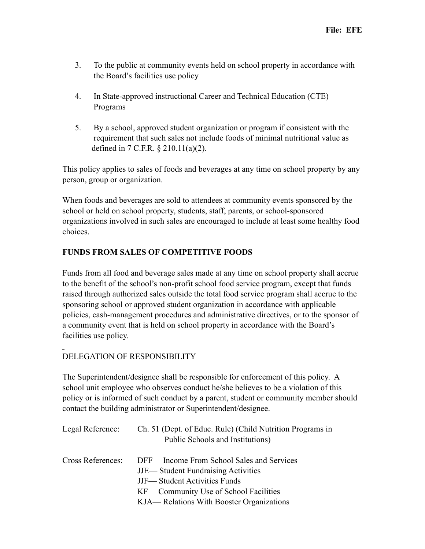- 3. To the public at community events held on school property in accordance with the Board's facilities use policy
- 4. In State-approved instructional Career and Technical Education (CTE) Programs
- 5. By a school, approved student organization or program if consistent with the requirement that such sales not include foods of minimal nutritional value as defined in 7 C.F.R. § 210.11(a)(2).

This policy applies to sales of foods and beverages at any time on school property by any person, group or organization.

When foods and beverages are sold to attendees at community events sponsored by the school or held on school property, students, staff, parents, or school-sponsored organizations involved in such sales are encouraged to include at least some healthy food choices.

## **FUNDS FROM SALES OF COMPETITIVE FOODS**

Funds from all food and beverage sales made at any time on school property shall accrue to the benefit of the school's non-profit school food service program, except that funds raised through authorized sales outside the total food service program shall accrue to the sponsoring school or approved student organization in accordance with applicable policies, cash-management procedures and administrative directives, or to the sponsor of a community event that is held on school property in accordance with the Board's facilities use policy.

## DELEGATION OF RESPONSIBILITY

The Superintendent/designee shall be responsible for enforcement of this policy. A school unit employee who observes conduct he/she believes to be a violation of this policy or is informed of such conduct by a parent, student or community member should contact the building administrator or Superintendent/designee.

| Legal Reference:  | Ch. 51 (Dept. of Educ. Rule) (Child Nutrition Programs in<br>Public Schools and Institutions)                                    |
|-------------------|----------------------------------------------------------------------------------------------------------------------------------|
| Cross References: | DFF— Income From School Sales and Services<br><b>JJE— Student Fundraising Activities</b><br><b>JJF</b> —Student Activities Funds |
|                   | KF— Community Use of School Facilities<br>KJA— Relations With Booster Organizations                                              |